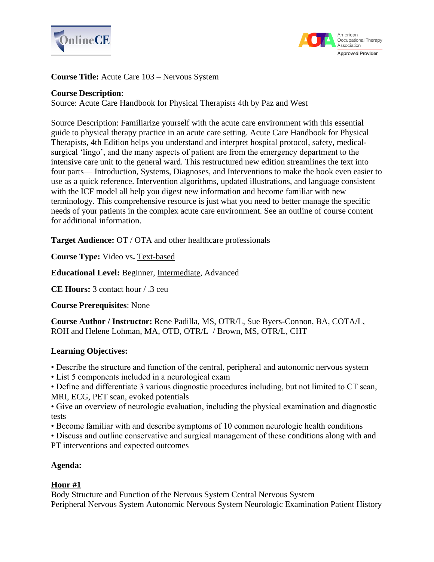



**Course Title:** Acute Care 103 – Nervous System

#### **Course Description**:

Source: Acute Care Handbook for Physical Therapists 4th by Paz and West

Source Description: Familiarize yourself with the acute care environment with this essential guide to physical therapy practice in an acute care setting. Acute Care Handbook for Physical Therapists, 4th Edition helps you understand and interpret hospital protocol, safety, medicalsurgical 'lingo', and the many aspects of patient are from the emergency department to the intensive care unit to the general ward. This restructured new edition streamlines the text into four parts— Introduction, Systems, Diagnoses, and Interventions to make the book even easier to use as a quick reference. Intervention algorithms, updated illustrations, and language consistent with the ICF model all help you digest new information and become familiar with new terminology. This comprehensive resource is just what you need to better manage the specific needs of your patients in the complex acute care environment. See an outline of course content for additional information.

**Target Audience:** OT / OTA and other healthcare professionals

**Course Type:** Video vs**.** Text-based

**Educational Level:** Beginner, Intermediate, Advanced

**CE Hours:** 3 contact hour / .3 ceu

**Course Prerequisites**: None

**Course Author / Instructor:** Rene Padilla, MS, OTR/L, Sue Byers-Connon, BA, COTA/L, ROH and Helene Lohman, MA, OTD, OTR/L / Brown, MS, OTR/L, CHT

# **Learning Objectives:**

• Describe the structure and function of the central, peripheral and autonomic nervous system

• List 5 components included in a neurological exam

• Define and differentiate 3 various diagnostic procedures including, but not limited to CT scan, MRI, ECG, PET scan, evoked potentials

• Give an overview of neurologic evaluation, including the physical examination and diagnostic tests

• Become familiar with and describe symptoms of 10 common neurologic health conditions

• Discuss and outline conservative and surgical management of these conditions along with and PT interventions and expected outcomes

# **Agenda:**

# **Hour #1**

Body Structure and Function of the Nervous System Central Nervous System Peripheral Nervous System Autonomic Nervous System Neurologic Examination Patient History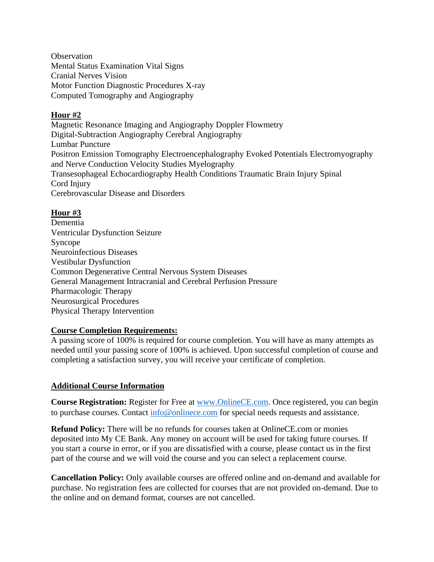**Observation** Mental Status Examination Vital Signs Cranial Nerves Vision Motor Function Diagnostic Procedures X-ray Computed Tomography and Angiography

# **Hour #2**

Magnetic Resonance Imaging and Angiography Doppler Flowmetry Digital-Subtraction Angiography Cerebral Angiography Lumbar Puncture Positron Emission Tomography Electroencephalography Evoked Potentials Electromyography and Nerve Conduction Velocity Studies Myelography Transesophageal Echocardiography Health Conditions Traumatic Brain Injury Spinal Cord Injury Cerebrovascular Disease and Disorders

# **Hour #3**

Dementia Ventricular Dysfunction Seizure Syncope Neuroinfectious Diseases Vestibular Dysfunction Common Degenerative Central Nervous System Diseases General Management Intracranial and Cerebral Perfusion Pressure Pharmacologic Therapy Neurosurgical Procedures Physical Therapy Intervention

# **Course Completion Requirements:**

A passing score of 100% is required for course completion. You will have as many attempts as needed until your passing score of 100% is achieved. Upon successful completion of course and completing a satisfaction survey, you will receive your certificate of completion.

# **Additional Course Information**

**Course Registration:** Register for Free at [www.OnlineCE.com.](http://www.onlinece.com/) Once registered, you can begin to purchase courses. Contact [info@onlinece.com](mailto:info@onlinece.com) for special needs requests and assistance.

**Refund Policy:** There will be no refunds for courses taken at OnlineCE.com or monies deposited into My CE Bank. Any money on account will be used for taking future courses. If you start a course in error, or if you are dissatisfied with a course, please contact us in the first part of the course and we will void the course and you can select a replacement course.

**Cancellation Policy:** Only available courses are offered online and on-demand and available for purchase. No registration fees are collected for courses that are not provided on-demand. Due to the online and on demand format, courses are not cancelled.